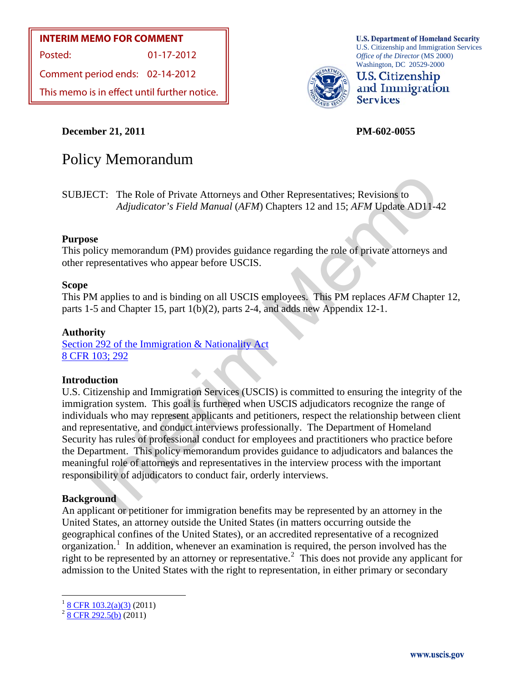#### **INTERIM MEMO FOR COMMENT**

Posted: 01-17-2012

Comment period ends: 02-14-2012

This memo is in effect until further notice.

U.S. Citizenship and Immigration Services *Office of the Director* (MS 2000) Washington, DC 20529-2000



**U.S. Citizenship** and Immigration **Services** 

**U.S. Department of Homeland Security** 

**December 21, 2011 PM-602-0055** 

# Policy Memorandum

SUBJECT: The Role of Private Attorneys and Other Representatives; Revisions to *Adjudicator's Field Manual* (*AFM*) Chapters 12 and 15; *AFM* Update AD11-42

#### **Purpose**

This policy memorandum (PM) provides guidance regarding the role of private attorneys and other representatives who appear before USCIS.

#### **Scope**

This PM applies to and is binding on all USCIS employees. This PM replaces *AFM* Chapter 12, parts 1-5 and Chapter 15, part 1(b)(2), parts 2-4, and adds new Appendix 12-1.

#### **Authority**

Section 292 of the Immigration & Nationality Act [8 CFR 103; 292](http://www.uscis.gov/portal/site/uscis/menuitem.f6da51a2342135be7e9d7a10e0dc91a0/?vgnextoid=fa7e539dc4bed010VgnVCM1000000ecd190aRCRD&vgnextchannel=fa7e539dc4bed010VgnVCM1000000ecd190aRCRD&CH=8cfr)

#### **Introduction**

ECT: The Role of Private Attorneys and Other Representatives; Revisions to<br>Adjudicator's Field Manual (AFM) Chapters 12 and 15; AFM Update AD11-4<br>see<br>olicy [m](http://www.uscis.gov/portal/site/uscis/menuitem.f6da51a2342135be7e9d7a10e0dc91a0/?vgnextoid=fa7e539dc4bed010VgnVCM1000000ecd190aRCRD&vgnextchannel=fa7e539dc4bed010VgnVCM1000000ecd190aRCRD&CH=act)emorandum (P[M](http://www.uscis.gov/portal/site/uscis/menuitem.f6da51a2342135be7e9d7a10e0dc91a0/?vgnextoid=fa7e539dc4bed010VgnVCM1000000ecd190aRCRD&vgnextchannel=fa7e539dc4bed010VgnVCM1000000ecd190aRCRD&CH=act)) provides guidance regarding the role of private a U.S. Citizenship and Immigration Services (USCIS) is committed to ensuring the integrity of the immigration system. This goal is furthered when USCIS adjudicators recognize the range of individuals who may represent applicants and petitioners, respect the relationship between client and representative, and conduct interviews professionally. The Department of Homeland Security has rules of professional conduct for employees and practitioners who practice before the Department. This policy memorandum provides guidance to adjudicators and balances the meaningful role of attorneys and representatives in the interview process with the important responsibility of adjudicators to conduct fair, orderly interviews.

#### **Background**

An applicant or petitioner for immigration benefits may be represented by an attorney in the United States, an attorney outside the United States (in matters occurring outside the geographical confines of the United States), or an accredited representative of a recognized  $\alpha$  organization.<sup>[1](#page-0-0)</sup> In addition, whenever an examination is required, the person involved has the right to be represented by an attorney or representative.<sup>[2](#page-0-1)</sup> This does not provide any applicant for admission to the United States with the right to representation, in either primary or secondary

<span id="page-0-0"></span> $\frac{1}{2}$  $\frac{1}{2}$  $\frac{1}{2}$  $\frac{1}{2}$  $\frac{1}{2}$  <u>8 CFR 103.2(a)(3)</u> (2011)<br>
2 [8 CFR 292.5\(b\)](http://www.uscis.gov/portal/site/uscis/menuitem.f6da51a2342135be7e9d7a10e0dc91a0/?vgnextoid=fa7e539dc4bed010VgnVCM1000000ecd190aRCRD&vgnextchannel=fa7e539dc4bed010VgnVCM1000000ecd190aRCRD&CH=8cfr) (2011)

<span id="page-0-1"></span>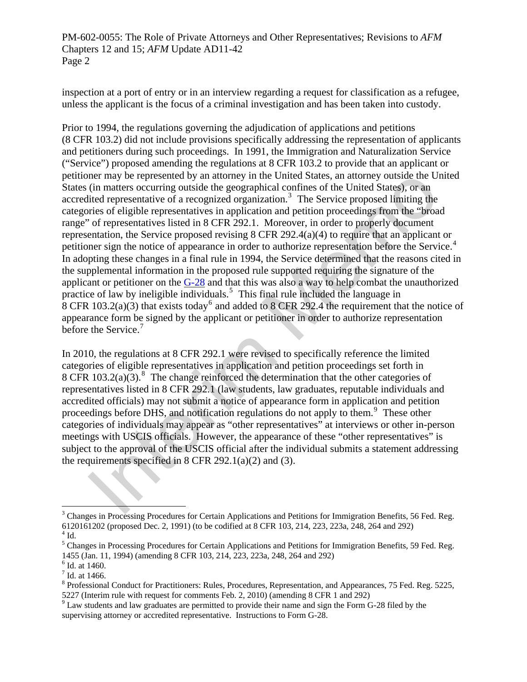inspection at a port of entry or in an interview regarding a request for classification as a refugee, unless the applicant is the focus of a criminal investigation and has been taken into custody.

ner may be represented by an attorney in the United States, an attorney outside the United States) are the United States), or an infinite representative of a recognized organization.<sup>3</sup> The Service proposed limiting the i Prior to 1994, the regulations governing the adjudication of applications and petitions (8 CFR 103.2) did not include provisions specifically addressing the representation of applicants and petitioners during such proceedings. In 1991, the Immigration and Naturalization Service ("Service") proposed amending the regulations at 8 CFR 103.2 to provide that an applicant or petitioner may be represented by an attorney in the United States, an attorney outside the United States (in matters occurring outside the geographical confines of the United States), or an accredited representative of a recognized organization.<sup>3</sup> The Service proposed limiting the categories of eligible representatives in application and petition proceedings from the "broad range" of representatives listed in 8 CFR 292.1. Moreover, in order to properly document representation, the Service proposed revising 8 CFR 292.4(a)(4) to require that an applicant or petitioner sign the notice of appearance in order to authorize representation before the Service.<sup>[4](#page-1-1)</sup> In adopting these changes in a final rule in 1994, the Service determined that the reasons cited in the supplemental information in the proposed rule supported requiring the signature of the applicant or petitioner on the G-28 and that this was also a way to help combat the unauthorized practice of law by ineligible individuals.<sup>5</sup> This final rule included the language in 8 CFR 103.2(a)(3) that exists today<sup>6</sup> and added to 8 CFR 292.4 the requirement that the notice of appearance form be signed by the applicant or petitioner in order to authorize representation before the Service.<sup>7</sup>

In 2010, the regulations at 8 CFR 292.1 were revised to specifically reference the limited categories of eligible representatives in application and petition proceedings set forth in 8 CFR  $103.2(a)(3)$ .<sup>8</sup> The change reinforced the determination that the other categories of representatives listed in 8 CFR 292.1 (law students, law graduates, reputable individuals and accredited officials) may not submit a notice of appearance form in application and petition proceedings before DHS, and notification regulations do not apply to them.<sup>9</sup> These other categories of individuals may appear as "other representatives" at interviews or other in-person meetings with USCIS officials. However, the appearance of these "other representatives" is subject to the approval of the USCIS official after the individual submits a statement addressing the requirements specified in  $8$  CFR 292.1(a)(2) and (3).

<span id="page-1-0"></span><sup>&</sup>lt;sup>3</sup> Changes in Processing Procedures for Certain Applications and Petitions for Immigration Benefits, 56 Fed. Reg. 6120161202 (proposed Dec. 2, 1991) (to be codified at 8 CFR 103, 214, 223, 223a, 248, 264 and 292)  $4$  Id.

<span id="page-1-2"></span><span id="page-1-1"></span><sup>&</sup>lt;sup>5</sup> Changes in Processing Procedures for Certain Applications and Petitions for Immigration Benefits, 59 Fed. Reg. 1455 (Jan. 11, 1994) (amending 8 CFR 103, 214, 223, 223a, 248, 264 and 292)

<span id="page-1-3"></span><sup>6</sup> Id. at 1460.

<span id="page-1-4"></span> $<sup>7</sup>$  Id. at 1466.</sup>

<span id="page-1-5"></span><sup>&</sup>lt;sup>8</sup> Professional Conduct for Practitioners: Rules, Procedures, Representation, and Appearances, 75 Fed. Reg. 5225, 5227 (Interim rule with request for comments Feb. 2, 2010) (amending 8 CFR 1 and 292)

<span id="page-1-6"></span> $9$  Law students and law graduates are permitted to provide their name and sign the Form G-28 filed by the supervising attorney or accredited representative. Instructions to Form G-28.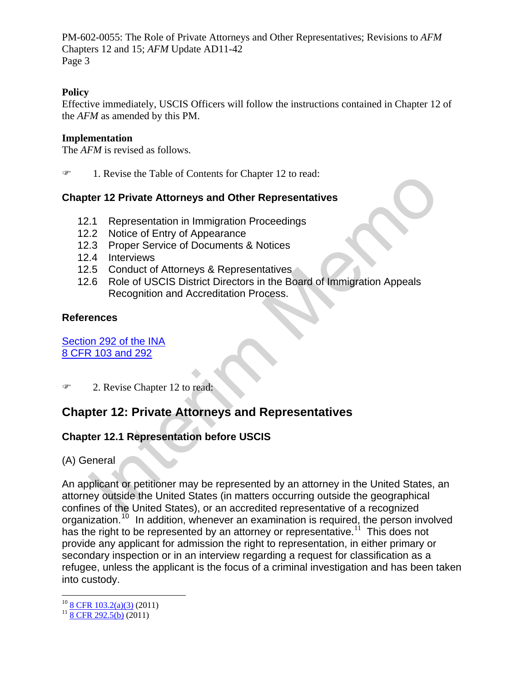### **Policy**

Effective immediately, USCIS Officers will follow the instructions contained in Chapter 12 of the *AFM* as amended by this PM.

#### **Implementation**

The *AFM* is revised as follows.

1. Revise the Table of Contents for Chapter 12 to read:

#### **Chapter 12 Private Attorneys and Other Representatives**

- 12.1 Representation in Immigration Proceedings
- 12.2 Notice of Entry of Appearance
- 12.3 Proper Service of Documents & Notices
- 12.4 Interviews
- 12.5 Conduct of Attorneys & Representatives
- 12.6 Role of USCIS District Directors in the Board of Immigration Appeals Recognition and Accreditation Process.

#### **References**

Section 292 of the INA [8 CFR 103 and 292](http://www.uscis.gov/portal/site/uscis/menuitem.f6da51a2342135be7e9d7a10e0dc91a0/?vgnextoid=fa7e539dc4bed010VgnVCM1000000ecd190aRCRD&vgnextchannel=fa7e539dc4bed010VgnVCM1000000ecd190aRCRD&CH=8cfr) 

**2.** Revise Chapter 12 to read:

# **Chapter 12: Private Attorneys and Representatives**

# **Chapter 12.1 Representation before USCIS**

(A) General

1. Kevise the Tatele of Contents for Chapter 12 to read:<br>
1.1 Representation in Immigration Proceedings<br>
1.1 Representation in Immigration Proceedings<br>
1.3 Proper Service of Documents & Notices<br>
1.4 Interviews<br>
1.5 Conduct An applicant or petitioner may be represented by an attorney in the United States, an attorney outside the United States (in matters occurring outside the geographical confines of the United States), or an accredited representative of a recognized organization.<sup>[10](#page-2-0)</sup> In addition, whenever an examination is required, the person involved has the right to be represented by an attorney or representative.<sup>[11](#page-2-1)</sup> This does not provide any applicant for admission the right to representation, in either primary or secondary inspection or in an interview regarding a request for classification as a refugee, unless the applicant is the focus of a criminal investigation and has been taken into custody.

<span id="page-2-0"></span><sup>&</sup>lt;sup>[10](http://www.uscis.gov/portal/site/uscis/menuitem.f6da51a2342135be7e9d7a10e0dc91a0/?vgnextoid=fa7e539dc4bed010VgnVCM1000000ecd190aRCRD&vgnextchannel=fa7e539dc4bed010VgnVCM1000000ecd190aRCRD&CH=8cfr)</sup> [8 CFR 103.2\(a\)\(3\)](http://www.uscis.gov/portal/site/uscis/menuitem.f6da51a2342135be7e9d7a10e0dc91a0/?vgnextoid=fa7e539dc4bed010VgnVCM1000000ecd190aRCRD&vgnextchannel=fa7e539dc4bed010VgnVCM1000000ecd190aRCRD&CH=8cfr) (20[11](http://www.uscis.gov/portal/site/uscis/menuitem.f6da51a2342135be7e9d7a10e0dc91a0/?vgnextoid=fa7e539dc4bed010VgnVCM1000000ecd190aRCRD&vgnextchannel=fa7e539dc4bed010VgnVCM1000000ecd190aRCRD&CH=8cfr))<br><sup>11</sup> [8 CFR 292.5\(b\)](http://www.uscis.gov/portal/site/uscis/menuitem.f6da51a2342135be7e9d7a10e0dc91a0/?vgnextoid=fa7e539dc4bed010VgnVCM1000000ecd190aRCRD&vgnextchannel=fa7e539dc4bed010VgnVCM1000000ecd190aRCRD&CH=8cfr) (2011)

<span id="page-2-1"></span>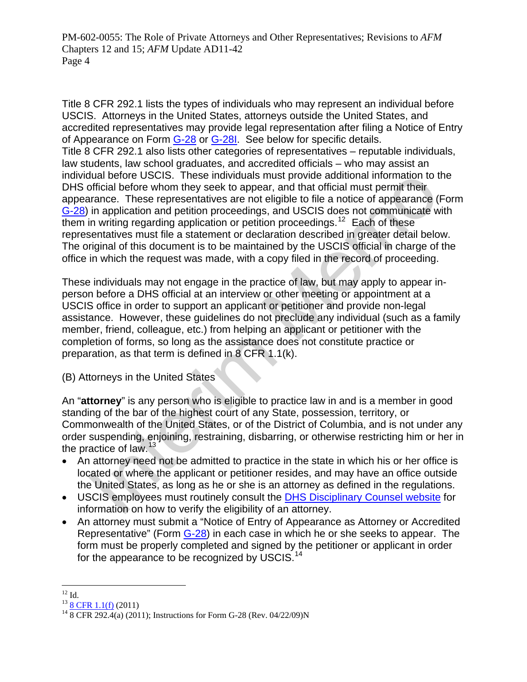dual before USCIS. These individuals [m](#page-3-0)ust provide additional information to threation in the equal to the equal theorem and that official must permit their arance. These representatives are not eligible to file a notice of Title 8 CFR 292.1 lists the types of individuals who may represent an individual before accredited representatives may provide legal representation after filing a Notice of Entry USCIS. Attorneys in the United States, attorneys outside the United States, and of Appearance on Form [G-28](http://www.uscis.gov/files/form/g-28.pdf) or [G-28I](#page-3-0). See below for specific details. Title 8 CFR 292.1 also lists other categories of representatives – reputable individ uals, law students, law school graduates, and accredited officials – who may assist an individual before USCIS. These individuals must provide additional information to the DHS official before whom they seek to appear, and that official must permit their appearance. These representatives are not eligible to file a notice of appearance (Form [G-28\)](#page-3-0) in application and petition proceedings, and USCIS does not communicate with  $\overline{\mathbf{I}}$  them in writing regarding application or petition proceedings.<sup>12</sup> Each of these The original of this document is to be maintained by the USCIS official in charge of the office in which the request was made, with a copy filed in the record of proceeding. representatives must file a statement or declaration described in greater detail below.

These individuals may not engage in the practice of law, but may apply to appear inassistance. However, these guidelines do not preclude any individual (such as a family completion of forms, so long as the assistance does not constitute practice or preparation, as that term is defined in 8 CFR 1.1(k). person before a DHS official at an interview or other meeting or appointment at a USCIS office in order to support an applicant or petitioner and provide non-legal member, friend, colleague, etc.) from helping an applicant or petitioner with the

) Attorneys in the United States (B

An "attorney" is any person who is eligible to practice law in and is a member in good order suspending, enjoining, restraining, disbarring, or otherwise restricting him or her in standing of the bar of the highest court of any State, possession, territory, or Commonwealth of the United States, or of the District of Columbia, and is not under any the practice of law.<sup>13</sup>

- An attorney need not be admitted to practice in the state in which his or her office is located or where the applicant or petitioner resides, and may have an office outside the United States, as long as he or she is an attorney as defined in the regulations.
- USCIS employees must routinely consult the **DHS Disciplinary Counsel website** for information on how to verify the eligibility of an attorney.
- An attorney must submit a "Notice of Entry of Appearance as Attorney or Accredited Representative" (Form [G-28](http://www.uscis.gov/files/form/g-28.pdf)) in each case in which he or she seeks to appear. The form must be properly completed and signed by the petitioner or applicant in order for the appearance to be recognized by USCIS.<sup>14</sup>

<sup>1</sup>  $^{12}$  Id.

<span id="page-3-0"></span> $13 \frac{13}{14} \frac{8 \text{ CFR } 1.1 \text{(f)}}{8 \text{ CFR } 292.4 \text{(a) } (2011)$ ; Instructions for Form G-28 (Rev. 04/22/09)N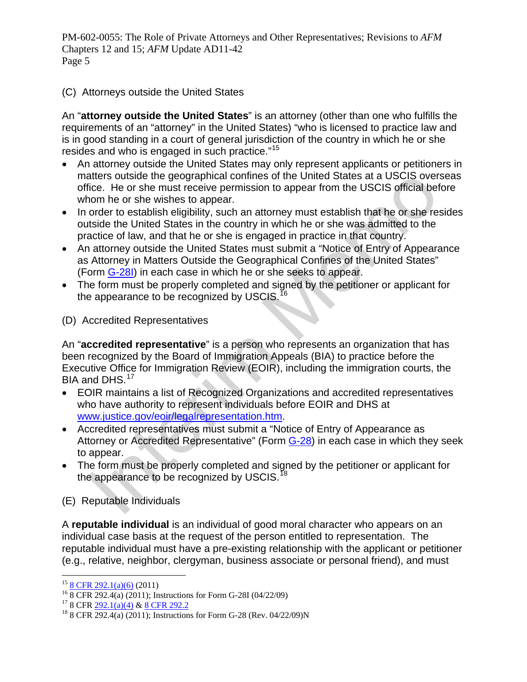(C) Attorneys outside the United States

An "**attorney outside the United States**" is an attorney (other than one who fulfills the requirements of an "attorney" in the United States) "who is licensed to practice law and is in good standing in a court of general jurisdiction of the country in which he or she resides and who is engaged in such practice."<sup>[15](#page-4-0)</sup>

- An attorney outside the United States may only represent applicants or petitioners in matters outside the geographical confines of the United States at a USCIS overseas office. He or she must receive permission to appear from the USCIS official before whom he or she wishes to appear.
- In order to establish eligibility, such an attorney must establish that he or she resides outside the United States in the country in which he or she was admitted to the practice of law, and that he or she is engaged in practice in that country.
- An attorney outside the United States must submit a "Notice of Entry of Appearance as Attorney in Matters Outside the Geographical Confines of the United States" (Form G-28I) in each case in which he or she seeks to appear.
- The form must be properly completed and signed by the petitioner or applicant for the appearance to be recognized by USCIS.<sup>16</sup>
- (D) Accredited Representatives

atters outside the geographical confinins of the United States at a USCIS over<br>ideo. He or she must receive permission to appear from the USC official between<br>tom he or she wishes to appear.<br>In order to establish that the An "**accredited representative**" is a person who represents an organization that has been recognized by the Board of Immigration Appeals (BIA) to practice before the Executive Office for Immigration Review (EOIR), including the immigration courts, the BIA and DHS.<sup>17</sup>

- EOIR maintains a list of Recognized Organizations and accredited representatives who have authority to represent individuals before EOIR and DHS at www.justice.gov/eoir/legalrepresentation.htm.
- Accredited representatives must submit a "Notice of Entry of Appearance as Attorney or Accredited Representative" (Form G-28) in each case in which they seek to appear.
- The form must be properly completed and signed by the petitioner or applicant for the appearance to be recognized by USCIS.<sup>18</sup>

(E) Reputable Individuals

A **reputable individual** is an individual of good moral character who appears on an individual case basis at the request of the person entitled to representation. The reputable individual must have a pre-existing relationship with the applicant or petitioner (e.g., relative, neighbor, clergyman, business associate or personal friend), and must

<span id="page-4-1"></span><span id="page-4-0"></span><sup>&</sup>lt;sup>15</sup> [8 CFR 292.1\(a\)\(6\)](http://www.uscis.gov/portal/site/uscis/menuitem.f6da51a2342135be7e9d7a10e0dc91a0/?vgnextoid=fa7e539dc4bed010VgnVCM1000000ecd190aRCRD&vgnextchannel=fa7e539dc4bed010VgnVCM1000000ecd190aRCRD&CH=8cfr) (2011)<br><sup>16</sup> 8 CFR 292.4(a) (2011); Instructions for Form G-28I (04/22/09)<br><sup>17</sup> 8 CFR 292.1(a)(4) & 8 CFR 292.2

<span id="page-4-2"></span>

<span id="page-4-3"></span> $18$  8 CFR 292.4(a) (2011); Instructions for Form G-28 (Rev. 04/22/09)N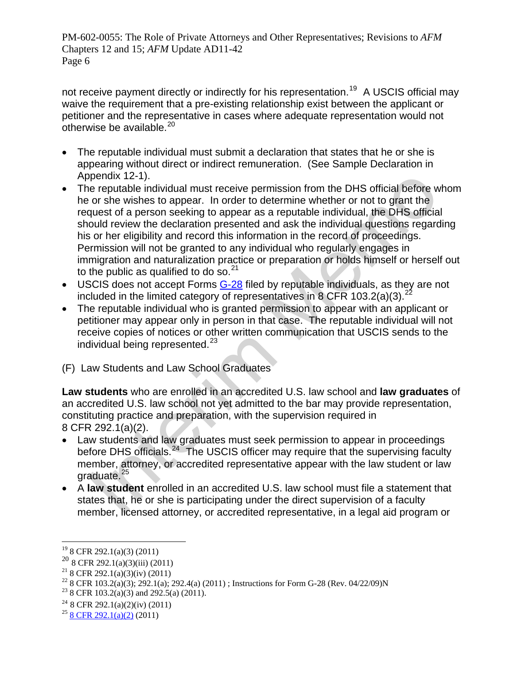not receive payment directly or indirectly for his representation.<sup>[19](#page-5-0)</sup> A USCIS official may waive the requirement that a pre-existing relationship exist between the applicant or petitioner and the representative in cases where adequate representation would not otherwise be available. $20$ 

- The reputable individual must submit a declaration that states that he or she is appearing without direct or indirect remuneration. (See Sample Declaration in Appendix 12-1).
- pendix 12-1).<br>
The reputable individual must receive permission from the DHS official before we reputable individual must receive permission from the DHS official before in or she wishes to aperar. [In](#page-5-6) order to de[te](#page-5-5)r[m](#page-5-4)ine w The reputable individual must receive permission from the DHS official before whom he or she wishes to appear. In order to determine whether or not to grant the request of a person seeking to appear as a reputable individual, the DHS official should review the declaration presented and ask the individual questions regarding his or her eligibility and record this information in the record of proceedings. Permission will not be granted to any individual who regularly engages in immigration and naturalization practice or preparation or holds himself or herself out to the public as qualified to do so.  $21$
- USCIS does not accept Forms G-28 filed by reputable individuals, as they are not included in the limited category of representatives in 8 CFR 103.2(a)(3).<sup>22</sup>
- The reputable individual who is granted permission to appear with an applicant or petitioner may appear only in person in that case. The reputable individual will not receive copies of notices or other written communication that USCIS sends to the individual being represented. $^{23}$
- (F) Law Students and Law School Graduates

**Law students** who are enrolled in an accredited U.S. law school and **law graduates** of an accredited U.S. law school not yet admitted to the bar may provide representation, constituting practice and preparation, with the supervision required in 8 CFR 292.1(a)(2).

- Law students and law graduates must seek permission to appear in proceedings before DHS officials.<sup>24</sup> The USCIS officer may require that the supervising faculty member, attorney, or accredited representative appear with the law student or law graduate.<sup>25</sup>
- A **law student** enrolled in an accredited U.S. law school must file a statement that states that, he or she is participating under the direct supervision of a faculty member, licensed attorney, or accredited representative, in a legal aid program or

 $\overline{a}$ 19 8 CFR 292.1(a)(3) (2011)

<span id="page-5-1"></span><span id="page-5-0"></span> $20\overline{)8}$  CFR 292.1(a)(3)(iii) (2011)

<span id="page-5-2"></span><sup>&</sup>lt;sup>21</sup> 8 CFR 292.1(a)(3)(iv) (2011)

<span id="page-5-3"></span><sup>&</sup>lt;sup>22</sup> 8 CFR 103.2(a)(3); 292.1(a); 292.4(a) (2011) ; Instructions for Form G-28 (Rev. 04/22/09)N

<span id="page-5-4"></span><sup>&</sup>lt;sup>23</sup> 8 CFR 103.2(a)(3) and 292.5(a) (2011).

<span id="page-5-5"></span><sup>&</sup>lt;sup>24</sup> 8 CFR 292.1(a)(2)(iv) (2011)

<span id="page-5-6"></span> $25$  [8 CFR 292.1\(a\)\(2\)](http://www.uscis.gov/portal/site/uscis/menuitem.f6da51a2342135be7e9d7a10e0dc91a0/?vgnextoid=fa7e539dc4bed010VgnVCM1000000ecd190aRCRD&vgnextchannel=fa7e539dc4bed010VgnVCM1000000ecd190aRCRD&CH=8cfr) (2011)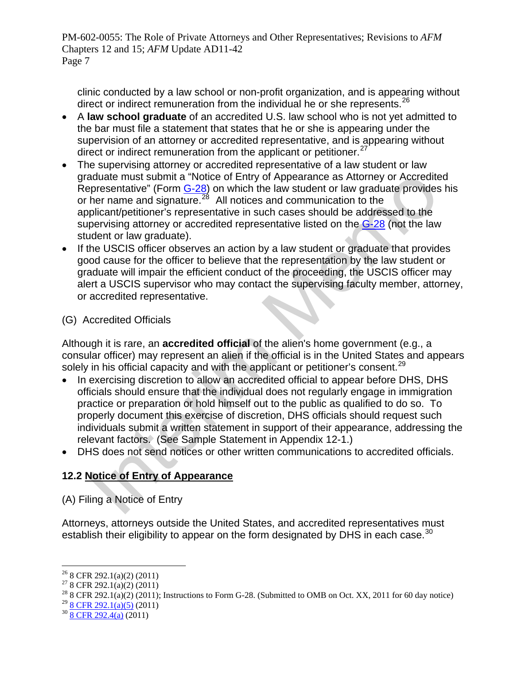clinic conducted by a law school or non-profit organization, and is appearing without direct or indirect remuneration from the individual he or she represents.<sup>26</sup>

- A **law school graduate** of an accredited U.S. law school who is not yet admitted to the bar must file a statement that states that he or she is appearing under the supervision of an attorney or accredited representative, and is appearing without direct or indirect remuneration from the applicant or petitioner.<sup>[27](#page-6-0)</sup>
- The supervising attorney or accredited representative of a law student or law graduate must submit a "Notice of Entry of Appearance as Attorney or Accredited Representative" (Form G-28) on which the law student or law graduate provides his or her name and signature.<sup>28</sup> All notices and communication to the applicant/petitioner's representative in such cases should be addressed to the supervising attorney or accredited representative listed on the G-28 (not the law student or law graduate).
- If the USCIS officer observes an action by a law student or graduate that provides good cause for the officer to believe that the representation by the law student or graduate will impair the efficient conduct of the proceeding, the USCIS officer may alert a USCIS supervisor who may contact the supervising faculty member, attorney, or accredited representative.

# (G) Accredited Officials

Although it is rare, an **accredited official** of the alien's home government (e.g., a consular officer) may represent an alien if the official is in the United States and appears solely in his official capacity and with the applicant or petitioner's consent.<sup>29</sup>

- aduate [m](http://www.uscis.gov/files/form/g-28.pdf)ust submit a "Notice of Entry of Appearance as Attomey or Accredite<br>epigesentative" (Form  $G_228$ ) on which the law student or law graduate provides<br>her name and signature.<sup>26</sup> All notices and communication to the In exercising discretion to allow an accredited official to appear before DHS, DHS officials should ensure that the individual does not regularly engage in immigration practice or preparation or hold himself out to the public as qualified to do so. To properly document this exercise of discretion, DHS officials should request such individuals submit a written statement in support of their appearance, addressing the relevant factors. (See Sample Statement in Appendix 12-1.)
- DHS does not send notices or other written communications to accredited officials.

# **12.2 Notice of Entry of Appearance**

(A) Filing a Notice of Entry

Attorneys, attorneys outside the United States, and accredited representatives must establish their eligibility to appear on the form designated by DHS in each case.<sup>[30](#page-6-3)</sup>

1

<span id="page-6-2"></span> $\frac{^{29}}{^{30}}\frac{8 \text{ CFR } 292.1(a)(5)}{8 \text{ CFR } 292.4(a) (2011)}$  $\frac{^{29}}{^{30}}\frac{8 \text{ CFR } 292.1(a)(5)}{8 \text{ CFR } 292.4(a) (2011)}$  $\frac{^{29}}{^{30}}\frac{8 \text{ CFR } 292.1(a)(5)}{8 \text{ CFR } 292.4(a) (2011)}$  $\frac{^{29}}{^{30}}\frac{8 \text{ CFR } 292.1(a)(5)}{8 \text{ CFR } 292.4(a) (2011)}$  $\frac{^{29}}{^{30}}\frac{8 \text{ CFR } 292.1(a)(5)}{8 \text{ CFR } 292.4(a) (2011)}$ 

<sup>26 8</sup> CFR 292.1(a)(2) (2011)

<span id="page-6-0"></span><sup>27 8</sup> CFR 292.1(a)(2) (2011)

<span id="page-6-1"></span> $^{28}$  8 CFR 292.1(a)(2) (2011); Instructions to Form G-28. (Submitted to OMB on Oct. XX, 2011 for 60 day notice)

<span id="page-6-3"></span>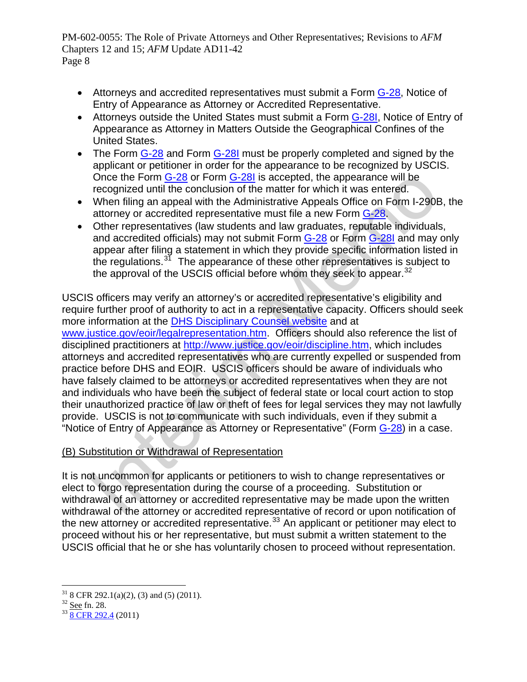- Attorneys and accredited representatives must submit a Form [G-28,](http://www.uscis.gov/files/form/g-28.pdf) Notice of Entry of Appearance as Attorney or Accredited Representative.
- Attorneys outside the United States must submit a Form [G-28I,](http://www.uscis.gov/files/form/g-28i.pdf) Notice of Entry of Appearance as Attorney in Matters Outside the Geographical Confines of the United States.
- The Form [G-28](http://www.uscis.gov/files/form/g-28.pdf) and Form [G-28I](http://www.uscis.gov/files/form/g-28i.pdf) must be properly completed and signed by the applicant or petitioner in order for the appearance to be recognized by USCIS. Once the Form G-28 or Form G-28I is accepted, the appearance will be recognized until the conclusion of the matter for which it was entered.
- When filing an appeal with the Administrative Appeals Office on Form I-290B, the attorney or accredited representative must file a new Form G-28.
- Other representatives (law students and law graduates, reputable individuals, and accredited officials) may not submit Form G-28 or Form G-28I and may only appear after filing a statement in which they provide specific information listed in the regulations. $3^7$  The appearance of these other representatives is subject to the approval of the USCIS official before whom they seek to appear. $32$

Once the For[m](http://www.justice.gov/eoir/discipline.htm)  $\underline{G-28}$  or For[m](http://www.uscis.gov/files/form/g-28i.pdf)  $\underline{G-28}$  is accepted, the appearance will be<br>recognized until the conclusion of the matter for which it was entered.<br>When filing an appeal with the Administrative Appeals Office on For USCIS officers may verify an attorney's or accredited representative's eligibility and require further proof of authority to act in a representative capacity. Officers should seek more information at the DHS Disciplinary Counsel website and at www.justice.gov/eoir/legalrepresentation.htm. Officers should also reference the list of disciplined practitioners at http://www.justice.gov/eoir/discipline.htm, which includes attorneys and accredited representatives who are currently expelled or suspended from practice before DHS and EOIR. USCIS officers should be aware of individuals who have falsely claimed to be attorneys or accredited representatives when they are not and individuals who have been the subject of federal state or local court action to stop their unauthorized practice of law or theft of fees for legal services they may not lawfully provide. USCIS is not to communicate with such individuals, even if they submit a "Notice of Entry of Appearance as Attorney or Representative" (Form G-28) in a case.

# (B) Substitution or Withdrawal of Representation

It is not uncommon for applicants or petitioners to wish to change representatives or elect to forgo representation during the course of a proceeding. Substitution or withdrawal of an attorney or accredited representative may be made upon the written withdrawal of the attorney or accredited representative of record or upon notification of the new attorney or accredited representative. $33$  An applicant or petitioner may elect to proceed without his or her representative, but must submit a written statement to the USCIS official that he or she has voluntarily chosen to proceed without representation.

<span id="page-7-0"></span> $\overline{a}$ <sup>31</sup> 8 CFR 292.1(a)(2), (3) and (5) (2011).<br><sup>32</sup> <u>See</u> fn. 28.

<span id="page-7-1"></span>

<span id="page-7-2"></span> $33$   $\overline{8}$  CFR 292.4 (2011)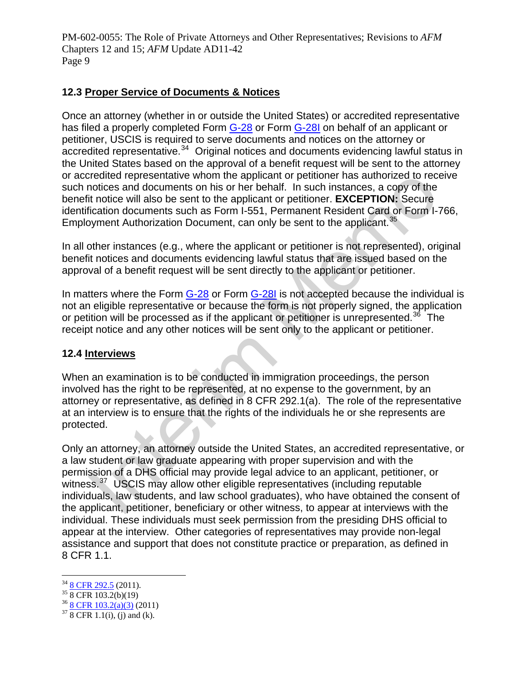# **12.3 Proper Service of Documents & Notices**

Once an attorney (whether in or outside the United States) or accredited representative has filed a properly completed Form [G-28](http://www.uscis.gov/files/form/g-28.pdf) or Form [G-28I](http://www.uscis.gov/files/form/g-28i.pdf) on behalf of an applicant or petitioner, USCIS is required to serve documents and notices on the attorney or accredited representative.<sup>[34](#page-8-0)</sup> Original notices and documents evidencing lawful status in the United States based on the approval of a benefit request will be sent to the attorney or accredited representative whom the applicant or petitioner has authorized to receive such notices and documents on his or her behalf. In such instances, a copy of the benefit notice will also be sent to the applicant or petitioner. **EXCEPTION:** Secure identification documents such as Form I-551, Permanent Resident Card or Form I-766, Employment Authorization Document, can only be sent to the applicant.<sup>35</sup>

In all other instances (e.g., where the applicant or petitioner is not represented), original benefit notices and documents evidencing lawful status that are issued based on the approval of a benefit request will be sent directly to the applicant or petitioner.

In matters where the Form G-28 or Form G-28I is not accepted because the individual is not an eligible representative or because the form is not properly signed, the application or petition will be processed as if the applicant or petitioner is unrepresented.<sup>36</sup> The receipt notice and any other notices will be sent only to the applicant or petitioner.

#### **12.4 Interviews**

When an examination is to be conducted in immigration proceedings, the person involved has the right to be represented, at no expense to the government, by an attorney or representative, as defined in 8 CFR 292.1(a). The role of the representative at an interview is to ensure that the rights of the individuals he or she represents are protected.

predited representative whom the applicant or petitioner has authorized to recondered from the applicant of peritone. EXCEPT[I](#page-8-3)ON: Secure it notice will also be sent to the applicant or petitioner. EXCEPTION: Secure fication Only an attorney, an attorney outside the United States, an accredited representative, or a law student or law graduate appearing with proper supervision and with the permission of a DHS official may provide legal advice to an applicant, petitioner, or witness.<sup>37</sup> USCIS may allow other eligible representatives (including reputable individuals, law students, and law school graduates), who have obtained the consent of the applicant, petitioner, beneficiary or other witness, to appear at interviews with the individual. These individuals must seek permission from the presiding DHS official to appear at the interview. Other categories of representatives may provide non-legal assistance and support that does not constitute practice or preparation, as defined in 8 CFR 1.1.

<u>.</u>

<span id="page-8-0"></span> $\frac{34}{35} \frac{8 \text{ CFR } 292.5}{8 \text{ CFR } 103.2 \text{(b)} (19)}$ 

<span id="page-8-1"></span>

<span id="page-8-2"></span> $rac{36}{37}$  [8 CFR 103.2\(a\)\(3\)](http://www.uscis.gov/portal/site/uscis/menuitem.f6da51a2342135be7e9d7a10e0dc91a0/?vgnextoid=fa7e539dc4bed010VgnVCM1000000ecd190aRCRD&vgnextchannel=fa7e539dc4bed010VgnVCM1000000ecd190aRCRD&CH=8cfr) (2011)<br> $rac{37}{8}$  CFR 1.1(i), (j) and (k).

<span id="page-8-3"></span>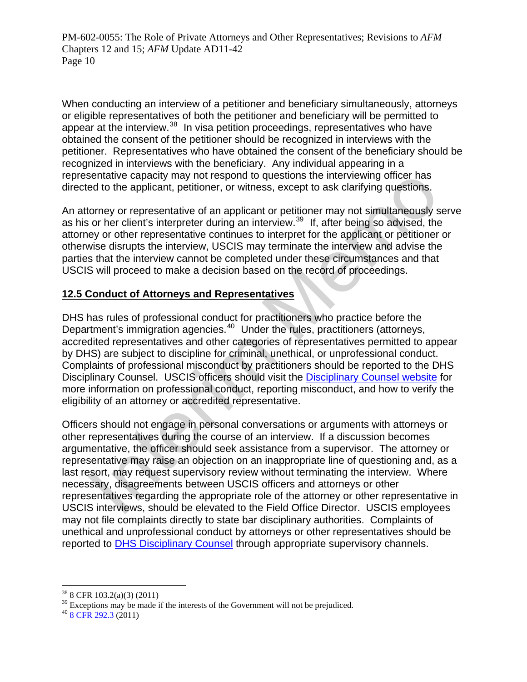When conducting an interview of a petitioner and beneficiary simultaneously, attorneys or eligible representatives of both the petitioner and beneficiary will be permitted to appear at the interview.<sup>[38](#page-9-0)</sup> In visa petition proceedings, representatives who have obtained the consent of the petitioner should be recognized in interviews with the petitioner. Representatives who have obtained the consent of the beneficiary should be recognized in interviews with the beneficiary. Any individual appearing in a representative capacity may not respond to questions the interviewing officer has directed to the applicant, petitioner, or witness, except to ask clarifying questions.

An attorney or representative of an applicant or petitioner may not simultaneously serve as his or her client's interpreter during an interview.39 If, after being so advised, the attorney or other representative continues to interpret for the applicant or petitioner or otherwise disrupts the interview, USCIS may terminate the interview and advise the parties that the interview cannot be completed under these circumstances and that USCIS will proceed to make a decision based on the record of proceedings.

# **12.5 Conduct of Attorneys and Representatives**

DHS has rules of professional conduct for practitioners who practice before the Department's immigration agencies.<sup>40</sup> Under the rules, practitioners (attorneys, accredited representatives and other categories of representatives permitted to appear by DHS) are subject to discipline for criminal, unethical, or unprofessional conduct. Complaints of professional misconduct by practitioners should be reported to the DHS Disciplinary Counsel. USCIS officers should visit the Disciplinary Counsel website for more information on professional conduct, reporting misconduct, and how to verify the eligibility of an attorney or accredited representative.

sentative capacity may not respond to questions the interviewing officer has the measure of the measure of the maplicant, or witness, except to ask clarifying questions.<br>
Concey or representative of an applicant or petitio Officers should not engage in personal conversations or arguments with attorneys or other representatives during the course of an interview. If a discussion becomes argumentative, the officer should seek assistance from a supervisor. The attorney or representative may raise an objection on an inappropriate line of questioning and, as a last resort, may request supervisory review without terminating the interview. Where necessary, disagreements between USCIS officers and attorneys or other representatives regarding the appropriate role of the attorney or other representative in USCIS interviews, should be elevated to the Field Office Director. USCIS employees may not file complaints directly to state bar disciplinary authorities. Complaints of unethical and unprofessional conduct by attorneys or other representatives should be reported to **DHS Disciplinary Counsel** through appropriate supervisory channels.

 $\overline{a}$ 38 8 CFR 103.2(a)(3) (2011)

<span id="page-9-1"></span><span id="page-9-0"></span><sup>&</sup>lt;sup>39</sup> Exceptions may be made if the interests of the Government will not be prejudiced.<br><sup>[40](http://www.uscis.gov/portal/site/uscis/menuitem.eb1d4c2a3e5b9ac89243c6a7543f6d1a/?vgnextoid=64929c7755cb9010VgnVCM10000045f3d6a1RCRD&vgnextchannel=64929c7755cb9010VgnVCM10000045f3d6a1RCRD)</sup> [8 CFR 292.3](http://www.uscis.gov/portal/site/uscis/menuitem.eb1d4c2a3e5b9ac89243c6a7543f6d1a/?vgnextoid=64929c7755cb9010VgnVCM10000045f3d6a1RCRD&vgnextchannel=64929c7755cb9010VgnVCM10000045f3d6a1RCRD) (2011)

<span id="page-9-2"></span>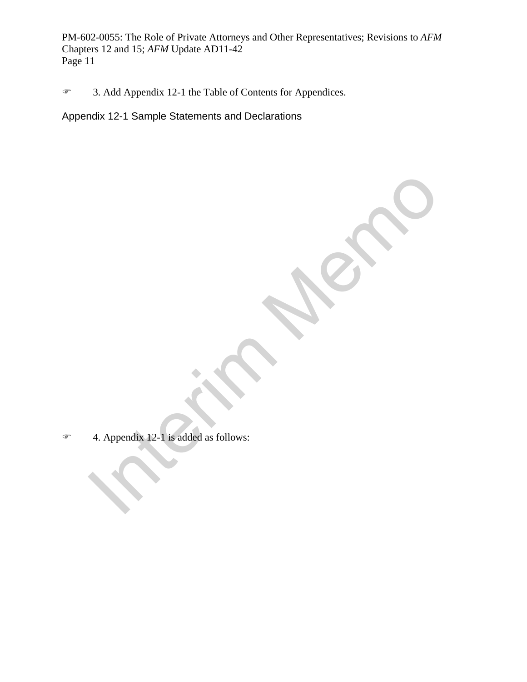3. Add Appendix 12-1 the Table of Contents for Appendices.

Appendix 12-1 Sample Statements and Declarations

4. Appendix 12-1 is added as follows:  $\infty$  4. Appendix 12-1 is added as follows: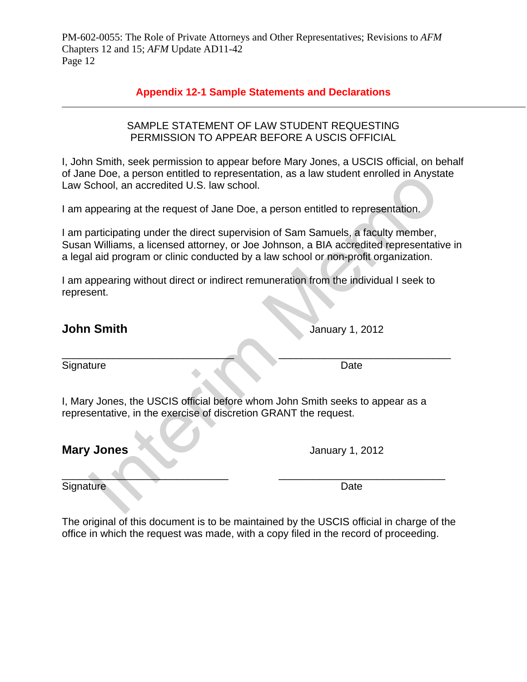# **Appendix 12-1 Sample Statements and Declarations**

#### SAMPLE STATEMENT OF LAW STUDENT REQUESTING PERMISSION TO APPEAR BEFORE A USCIS OFFICIAL

I, John Smith, seek permission to appear before Mary Jones, a USCIS official, on behalf of Jane Doe, a person entitled to representation, as a law student enrolled in Anystate Law School, an accredited U.S. law school.

I am appearing at the request of Jane Doe, a person entitled to representation.

Even a person entitied to representation, as a law student enfolled on Anystotelolol, an accredited U.S. law school.<br>
Appearing at the request of Jane Doe, a person entitled to representation.<br>
Appearing under the direct s I am participating under the direct supervision of Sam Samuels, a faculty member, Susan Williams, a licensed attorney, or Joe Johnson, a BIA accredited representative in a legal aid program or clinic conducted by a law school or non-profit organization.

I am appearing without direct or indirect remuneration from the individual I seek to represent.

# **John Smith** January 1, 2012

\_\_\_\_\_\_\_\_\_\_\_\_\_\_\_\_\_\_\_\_\_\_\_\_\_\_\_\_\_\_ \_\_\_\_\_\_\_\_\_\_\_\_\_\_\_\_\_\_\_\_\_\_\_\_\_\_\_\_\_\_ Signature Date

I, Mary Jones, the USCIS official before whom John Smith seeks to appear as a representative, in the exercise of discretion GRANT the request.

**Mary Jones January 1, 2012** 

\_\_\_\_\_\_\_\_\_\_\_\_\_\_\_\_\_\_\_\_\_\_\_\_\_\_\_\_\_ \_\_\_\_\_\_\_\_\_\_\_\_\_\_\_\_\_\_\_\_\_\_\_\_\_\_\_\_\_ Signature Date

The original of this document is to be maintained by the USCIS official in charge of the office in which the request was made, with a copy filed in the record of proceeding.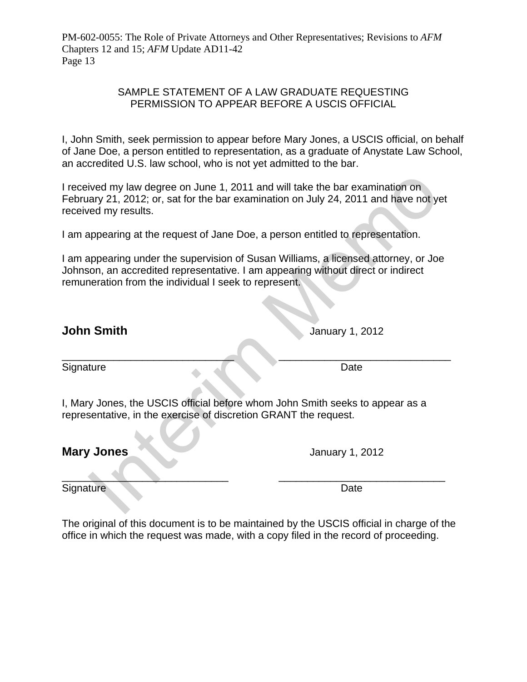#### SAMPLE STATEMENT OF A LAW GRADUATE REQUESTING PERMISSION TO APPEAR BEFORE A USCIS OFFICIAL

I, John Smith, seek permission to appear before Mary Jones, a USCIS official, on behalf of Jane Doe, a person entitled to representation, as a graduate of Anystate Law School, an accredited U.S. law school, who is not yet admitted to the bar.

Interimal and will take the bar examination on<br>
Interim Memory 21, 2012; or, sat for the bar examination on July 24, 2011 and have not year<br>
ed my results.<br>
Interest of Jane Doe, a person entitled to representation.<br>
Impea I received my law degree on June 1, 2011 and will take the bar examination on February 21, 2012; or, sat for the bar examination on July 24, 2011 and have not yet received my results.

I am appearing at the request of Jane Doe, a person entitled to representation.

I am appearing under the supervision of Susan Williams, a licensed attorney, or Joe Johnson, an accredited representative. I am appearing without direct or indirect remuneration from the individual I seek to represent.

 $\overline{\phantom{a}}$  ,  $\overline{\phantom{a}}$  ,  $\overline{\phantom{a}}$  ,  $\overline{\phantom{a}}$  ,  $\overline{\phantom{a}}$  ,  $\overline{\phantom{a}}$  ,  $\overline{\phantom{a}}$  ,  $\overline{\phantom{a}}$  ,  $\overline{\phantom{a}}$  ,  $\overline{\phantom{a}}$  ,  $\overline{\phantom{a}}$  ,  $\overline{\phantom{a}}$  ,  $\overline{\phantom{a}}$  ,  $\overline{\phantom{a}}$  ,  $\overline{\phantom{a}}$  ,  $\overline{\phantom{a}}$ 

**John Smith** January 1, 2012

Signature Date

I, Mary Jones, the USCIS official before whom John Smith seeks to appear as a representative, in the exercise of discretion GRANT the request.

**Mary Jones Mary January 1, 2012** 

 $\overline{\phantom{a}}$  ,  $\overline{\phantom{a}}$  ,  $\overline{\phantom{a}}$  ,  $\overline{\phantom{a}}$  ,  $\overline{\phantom{a}}$  ,  $\overline{\phantom{a}}$  ,  $\overline{\phantom{a}}$  ,  $\overline{\phantom{a}}$  ,  $\overline{\phantom{a}}$  ,  $\overline{\phantom{a}}$  ,  $\overline{\phantom{a}}$  ,  $\overline{\phantom{a}}$  ,  $\overline{\phantom{a}}$  ,  $\overline{\phantom{a}}$  ,  $\overline{\phantom{a}}$  ,  $\overline{\phantom{a}}$ Signature Date **Date** 

The original of this document is to be maintained by the USCIS official in charge of the office in which the request was made, with a copy filed in the record of proceeding.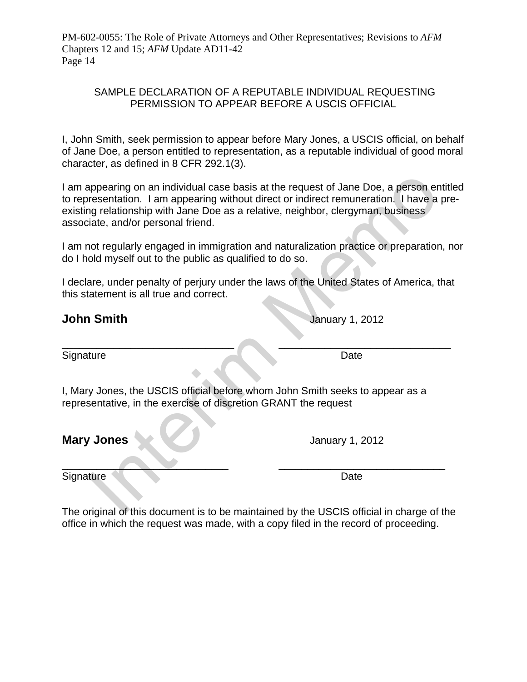#### SAMPLE DECLARATION OF A REPUTABLE INDIVIDUAL REQUESTING PERMISSION TO APPEAR BEFORE A USCIS OFFICIAL

I, John Smith, seek permission to appear before Mary Jones, a USCIS official, on behalf of Jane Doe, a person entitled to representation, as a reputable individual of good moral character, as defined in 8 CFR 292.1(3).

appearing on an individual case basis at the request of Jane Doe, a person eresentation. I am appearing without direct or indirect remuneration. I have a<br>prelationship with Jane Doe as a relative, neighbor, clergyman, busi I am appearing on an individual case basis at the request of Jane Doe, a person entitled to representation. I am appearing without direct or indirect remuneration. I have a preexisting relationship with Jane Doe as a relative, neighbor, clergyman, business associate, and/or personal friend.

I am not regularly engaged in immigration and naturalization practice or preparation, nor do I hold myself out to the public as qualified to do so.

I declare, under penalty of perjury under the laws of the United States of America, that this statement is all true and correct.

\_\_\_\_\_\_\_\_\_\_\_\_\_\_\_\_\_\_\_\_\_\_\_\_\_\_\_\_\_\_ \_\_\_\_\_\_\_\_\_\_\_\_\_\_\_\_\_\_\_\_\_\_\_\_\_\_\_\_\_\_

# **John Smith** January 1, 2012

Signature Date Date

I, Mary Jones, the USCIS official before whom John Smith seeks to appear as a representative, in the exercise of discretion GRANT the request

**Mary Jones Mary January 1, 2012** 

Signature Date **Date** 

 $\overbrace{\hspace{2.5cm}}$ 

The original of this document is to be maintained by the USCIS official in charge of the office in which the request was made, with a copy filed in the record of proceeding.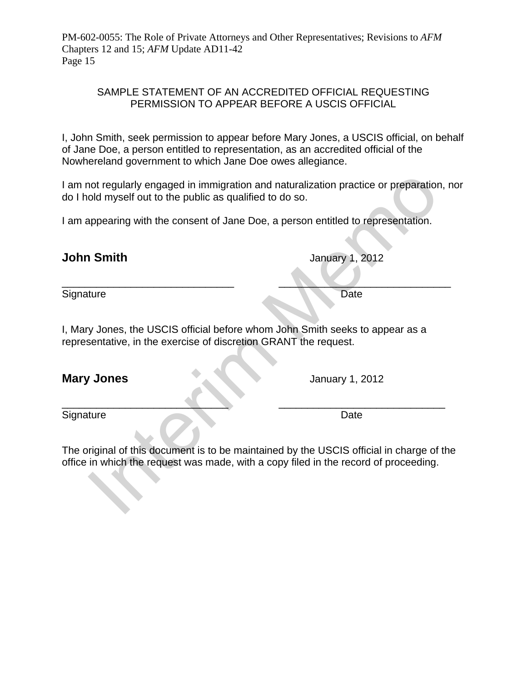#### SAMPLE STATEMENT OF AN ACCREDITED OFFICIAL REQUESTING PERMISSION TO APPEAR BEFORE A USCIS OFFICIAL

I, John Smith, seek permission to appear before Mary Jones, a USCIS official, on behalf of Jane Doe, a person entitled to representation, as an accredited official of the Nowhereland government to which Jane Doe owes allegiance.

I am not regularly engaged in immigration and naturalization practice or preparation, nor do I hold myself out to the public as qualified to do so.

I am appearing with the consent of Jane Doe, a person entitled to representation.

 $\qquad \qquad \qquad -1$ Signature Date Date

I, Mary Jones, the USCIS official before whom John Smith seeks to appear as a representative, in the exercise of discretion GRANT the request.

**Mary Jones** January 1, 2012

 $\sim$  . The contract of the contract of  $\sim$  . The contract of the contract of  $\sim$ Signature Date

Not regularly engaged in immigration and naturalization practice or preparation<br>
Interim Memorial of the public as qualified to do so.<br>
Appearing with the consent of Jane Doe, a person entitled to representation.<br>
Interim The original of this document is to be maintained by the USCIS official in charge of the office in which the request was made, with a copy filed in the record of proceeding.

**January 1, 2012**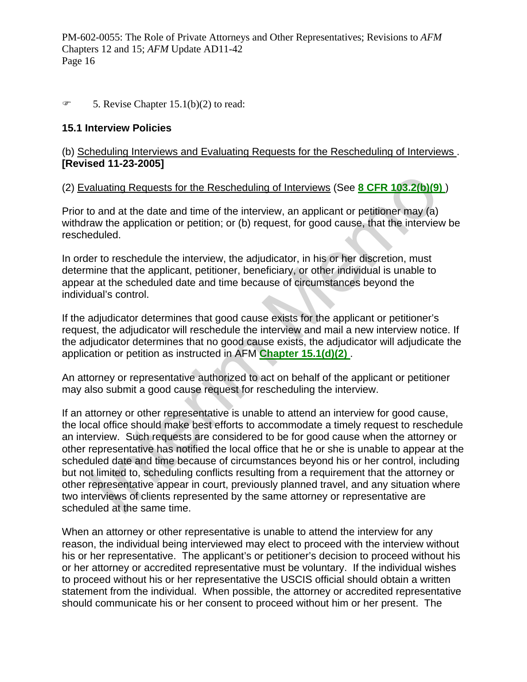#### $\mathcal{F}$  5. Revise Chapter 15.1(b)(2) to read:

#### **15.1 Interview Policies**

#### (b) Scheduling Interviews and Evaluating Requests for the Rescheduling of Interviews . **[Revised 11-23-2005]**

# (2) Evaluating Requests for the Rescheduling of Interviews (See **8 CFR 103.2(b)(9)** )

Prior to and at the date and time of the interview, an applicant or petitioner may (a) withdraw the application or petition; or (b) request, for good cause, that the interview be rescheduled.

In order to reschedule the interview, the adjudicator, in his or her discretion, must determine that the applicant, petitioner, beneficiary, or other individual is unable to appear at the scheduled date and time because of circumstances beyond the individual's control.

If the adjudicator determines that good cause exists for the applicant or petitioner's request, the adjudicator will reschedule the interview and mail a new interview notice. If the adjudicator determines that no good cause exists, the adjudicator will adjudicate the application or petition as instructed in AFM **Chapter 15.1(d)(2)** .

An attorney or representative authorized to act on behalf of the applicant or petitioner may also submit a good cause request for rescheduling the interview.

raluating Requests f[o](http://dhsconnect.dhs.gov/uscis/workingresources/Source/docView/SLB/HTML/SLB/0-0-0-1/0-0-0-11260/0-0-0-11629/0-0-0-11645.html#0-0-0-9473)r the Rescheduling of Interviews (See **8 CFR 103.2(b)(9**<br>to and at the date and time of the interview, an applicant or petitioner may (a)<br>raw the application or petition; or (b) request, for good cause If an attorney or other representative is unable to attend an interview for good cause, the local office should make best efforts to accommodate a timely request to reschedule an interview. Such requests are considered to be for good cause when the attorney or other representative has notified the local office that he or she is unable to appear at the scheduled date and time because of circumstances beyond his or her control, including but not limited to, scheduling conflicts resulting from a requirement that the attorney or other representative appear in court, previously planned travel, and any situation where two interviews of clients represented by the same attorney or representative are scheduled at the same time.

When an attorney or other representative is unable to attend the interview for any reason, the individual being interviewed may elect to proceed with the interview without his or her representative. The applicant's or petitioner's decision to proceed without his or her attorney or accredited representative must be voluntary. If the individual wishes to proceed without his or her representative the USCIS official should obtain a written statement from the individual. When possible, the attorney or accredited representative should communicate his or her consent to proceed without him or her present. The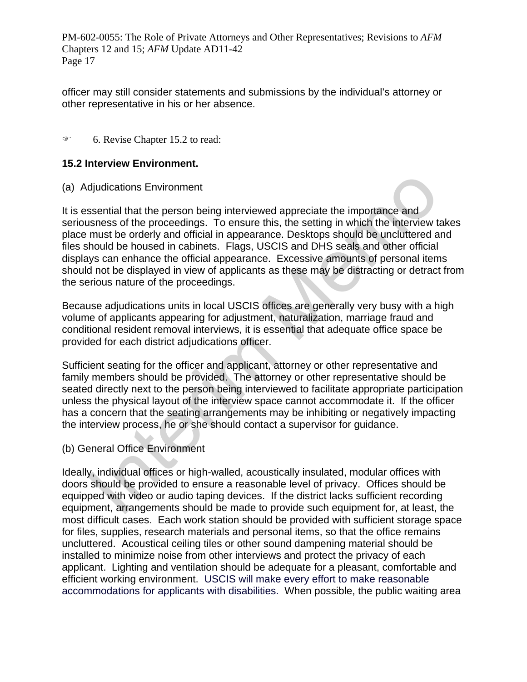officer may still consider statements and submissions by the individual's attorney or other representative in his or her absence.

6. Revise Chapter 15.2 to read:

#### **15.2 Interview Environment.**

(a) Adjudications Environment

djudications Environment<br>ssential that the person being interviewed appreciate the importance and<br>siness of the proceedings. To ensure this, the setting in which the interview t<br>must be orderly and official in appearance. It is essential that the person being interviewed appreciate the importance and seriousness of the proceedings. To ensure this, the setting in which the interview takes place must be orderly and official in appearance. Desktops should be uncluttered and files should be housed in cabinets. Flags, USCIS and DHS seals and other official displays can enhance the official appearance. Excessive amounts of personal items should not be displayed in view of applicants as these may be distracting or detract from the serious nature of the proceedings.

Because adjudications units in local USCIS offices are generally very busy with a high volume of applicants appearing for adjustment, naturalization, marriage fraud and conditional resident removal interviews, it is essential that adequate office space be provided for each district adjudications officer.

Sufficient seating for the officer and applicant, attorney or other representative and family members should be provided. The attorney or other representative should be seated directly next to the person being interviewed to facilitate appropriate participation unless the physical layout of the interview space cannot accommodate it. If the officer has a concern that the seating arrangements may be inhibiting or negatively impacting the interview process, he or she should contact a supervisor for guidance.

(b) General Office Environment

Ideally, individual offices or high-walled, acoustically insulated, modular offices with doors should be provided to ensure a reasonable level of privacy. Offices should be equipped with video or audio taping devices. If the district lacks sufficient recording equipment, arrangements should be made to provide such equipment for, at least, the most difficult cases. Each work station should be provided with sufficient storage space for files, supplies, research materials and personal items, so that the office remains uncluttered. Acoustical ceiling tiles or other sound dampening material should be installed to minimize noise from other interviews and protect the privacy of each applicant. Lighting and ventilation should be adequate for a pleasant, comfortable and efficient working environment. USCIS will make every effort to make reasonable accommodations for applicants with disabilities. When possible, the public waiting area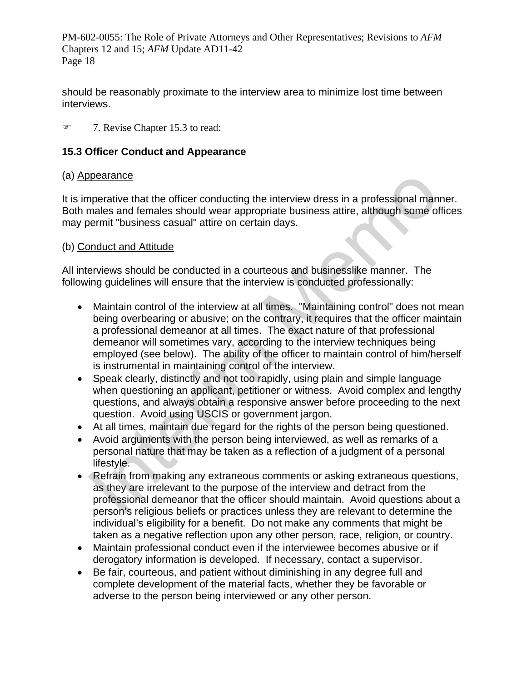should be reasonably proximate to the interview area to minimize lost time between interviews.

#### 8 7. Revise Chapter 15.3 to read:

## **15.3 Officer Conduct and Appearance**

#### (a) Appearance

It is imperative that the officer conducting the interview dress in a professional manner. Both males and females should wear appropriate business attire, although some offices may permit "business casual" attire on certain days.

### (b) Conduct and Attitude

All interviews should be conducted in a courteous and businesslike manner. The following guidelines will ensure that the interview is conducted professionally:

- bearance<br>
mearance<br>
mearance that the officer conducting the interview dress in a professional man<br>
menmit "business casual" attire on certain days.<br>
memorit "business casual" attire on certain days.<br>
memorit "business cas Maintain control of the interview at all times. "Maintaining control" does not mean being overbearing or abusive; on the contrary, it requires that the officer maintain a professional demeanor at all times. The exact nature of that professional demeanor will sometimes vary, according to the interview techniques being employed (see below). The ability of the officer to maintain control of him/herself is instrumental in maintaining control of the interview.
- Speak clearly, distinctly and not too rapidly, using plain and simple language when questioning an applicant, petitioner or witness. Avoid complex and lengthy questions, and always obtain a responsive answer before proceeding to the next question. Avoid using USCIS or government jargon.
- At all times, maintain due regard for the rights of the person being questioned.
- Avoid arguments with the person being interviewed, as well as remarks of a personal nature that may be taken as a reflection of a judgment of a personal lifestyle.
- Refrain from making any extraneous comments or asking extraneous questions, as they are irrelevant to the purpose of the interview and detract from the professional demeanor that the officer should maintain. Avoid questions about a person's religious beliefs or practices unless they are relevant to determine the individual's eligibility for a benefit. Do not make any comments that might be taken as a negative reflection upon any other person, race, religion, or country.
- Maintain professional conduct even if the interviewee becomes abusive or if derogatory information is developed. If necessary, contact a supervisor.
- Be fair, courteous, and patient without diminishing in any degree full and complete development of the material facts, whether they be favorable or adverse to the person being interviewed or any other person.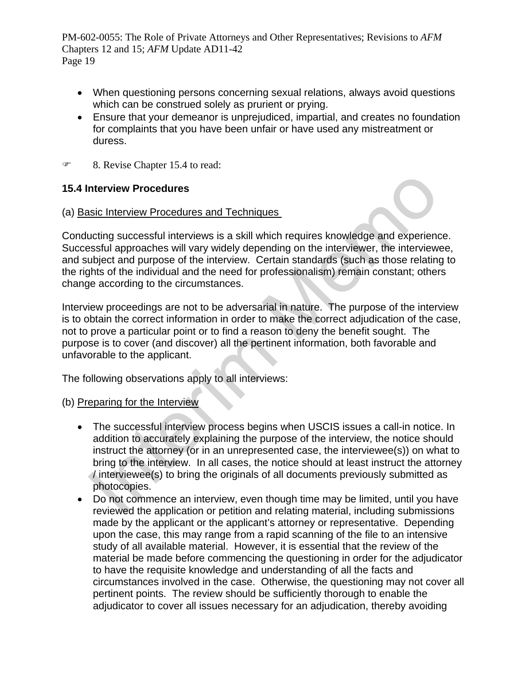- When questioning persons concerning sexual relations, always avoid questions which can be construed solely as prurient or prying.
- Ensure that your demeanor is unprejudiced, impartial, and creates no foundation for complaints that you have been unfair or have used any mistreatment or duress.
- 8. Revise Chapter 15.4 to read:

# **15.4 Interview Procedures**

### (a) Basic Interview Procedures and Techniques

Conducting successful interviews is a skill which requires knowledge and experience. Successful approaches will vary widely depending on the interviewer, the interviewee, and subject and purpose of the interview. Certain standards (such as those relating to the rights of the individual and the need for professionalism) remain constant; others change according to the circumstances.

Interview proceedings are not to be adversarial in nature. The purpose of the interview is to obtain the correct information in order to make the correct adjudication of the case, not to prove a particular point or to find a reason to deny the benefit sought. The purpose is to cover (and discover) all the pertinent information, both favorable and unfavorable to the applicant.

The following observations apply to all interviews:

#### (b) Preparing for the Interview

- nterview Procedures<br>
sig Interview Procedures<br>
sig Interview Procedures and Techniques<br>
signition approachs will vary widely depending on the interviewer, the interview<br>
subject and purpose of the interview. Certain standa The successful interview process begins when USCIS issues a call-in notice. In addition to accurately explaining the purpose of the interview, the notice should instruct the attorney (or in an unrepresented case, the interviewee(s)) on what to bring to the interview. In all cases, the notice should at least instruct the attorney / interviewee(s) to bring the originals of all documents previously submitted as photocopies.
- Do not commence an interview, even though time may be limited, until you have reviewed the application or petition and relating material, including submissions made by the applicant or the applicant's attorney or representative. Depending upon the case, this may range from a rapid scanning of the file to an intensive study of all available material. However, it is essential that the review of the material be made before commencing the questioning in order for the adjudicator to have the requisite knowledge and understanding of all the facts and circumstances involved in the case. Otherwise, the questioning may not cover all pertinent points. The review should be sufficiently thorough to enable the adjudicator to cover all issues necessary for an adjudication, thereby avoiding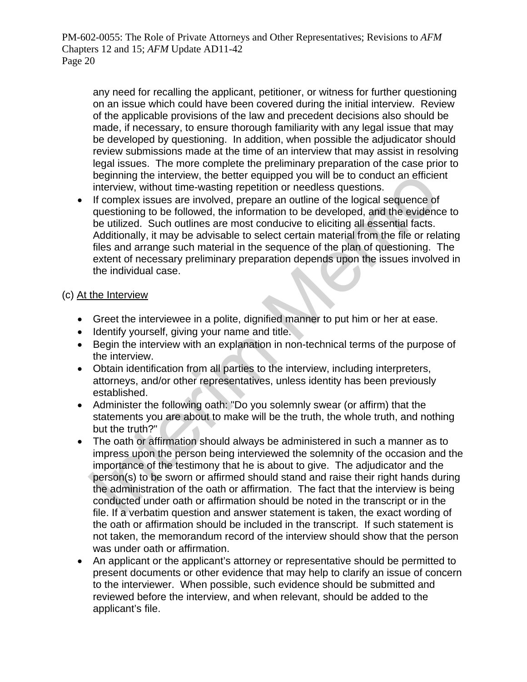any need for recalling the applicant, petitioner, or witness for further questioning on an issue which could have been covered during the initial interview. Review of the applicable provisions of the law and precedent decisions also should be made, if necessary, to ensure thorough familiarity with any legal issue that may be developed by questioning. In addition, when possible the adjudicator should review submissions made at the time of an interview that may assist in resolving legal issues. The more complete the preliminary preparation of the case prior to beginning the interview, the better equipped you will be to conduct an efficient interview, without time-wasting repetition or needless questions.

beginning the interview, the better equipped you will be to conduct an efficiee<br>interview, without time-wasting repetition or needless questions.<br>If complex issues are involved, heppare an outline of the logical sequence o • If complex issues are involved, prepare an outline of the logical sequence of questioning to be followed, the information to be developed, and the evidence to be utilized. Such outlines are most conducive to eliciting all essential facts. Additionally, it may be advisable to select certain material from the file or relating files and arrange such material in the sequence of the plan of questioning. The extent of necessary preliminary preparation depends upon the issues involved in the individual case.

# (c) At the Interview

- Greet the interviewee in a polite, dignified manner to put him or her at ease.
- Identify yourself, giving your name and title.
- Begin the interview with an explanation in non-technical terms of the purpose of the interview.
- Obtain identification from all parties to the interview, including interpreters, attorneys, and/or other representatives, unless identity has been previously established.
- Administer the following oath: "Do you solemnly swear (or affirm) that the statements you are about to make will be the truth, the whole truth, and nothing but the truth?"
- The oath or affirmation should always be administered in such a manner as to impress upon the person being interviewed the solemnity of the occasion and the importance of the testimony that he is about to give. The adjudicator and the person(s) to be sworn or affirmed should stand and raise their right hands during the administration of the oath or affirmation. The fact that the interview is being conducted under oath or affirmation should be noted in the transcript or in the file. If a verbatim question and answer statement is taken, the exact wording of the oath or affirmation should be included in the transcript. If such statement is not taken, the memorandum record of the interview should show that the person was under oath or affirmation.
- An applicant or the applicant's attorney or representative should be permitted to present documents or other evidence that may help to clarify an issue of concern to the interviewer. When possible, such evidence should be submitted and reviewed before the interview, and when relevant, should be added to the applicant's file.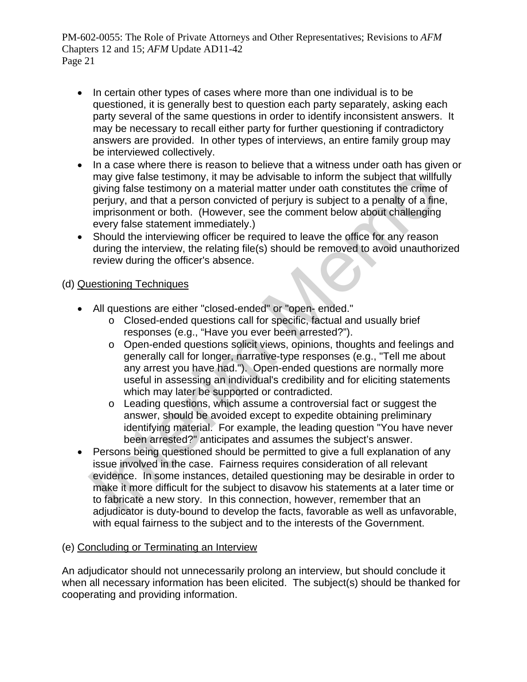- In certain other types of cases where more than one individual is to be questioned, it is generally best to question each party separately, asking each party several of the same questions in order to identify inconsistent answers. It may be necessary to recall either party for further questioning if contradictory answers are provided. In other types of interviews, an entire family group may be interviewed collectively.
- In a case where there is reason to believe that a witness under oath has given or may give false testimony, it may be advisable to inform the subject that willfully giving false testimony on a material matter under oath constitutes the crime of perjury, and that a person convicted of perjury is subject to a penalty of a fine, imprisonment or both. (However, see the comment below about challenging every false statement immediately.)
- Should the interviewing officer be required to leave the office for any reason during the interview, the relating file(s) should be removed to avoid unauthorized review during the officer's absence.

# (d) Questioning Techniques

- All questions are either "closed-ended" or "open- ended."
	- o Closed-ended questions call for specific, factual and usually brief responses (e.g., "Have you ever been arrested?").
	- o Open-ended questions solicit views, opinions, thoughts and feelings and generally call for longer, narrative-type responses (e.g., "Tell me about any arrest you have had."). Open-ended questions are normally more useful in assessing an individual's credibility and for eliciting statements which may later be supported or contradicted.
	- $\circ$  Leading questions, which assume a controversial fact or suggest the answer, should be avoided except to expedite obtaining preliminary identifying material. For example, the leading question "You have never been arrested?" anticipates and assumes the subject's answer.
- may give false testimony, it may be advisable to inform the subject that will<br>flying false testimony on a material matter under oath constitutes the crime<br>perjury, and that a person convicted of perjury is subject to a pen Persons being questioned should be permitted to give a full explanation of any issue involved in the case. Fairness requires consideration of all relevant evidence. In some instances, detailed questioning may be desirable in order to make it more difficult for the subject to disavow his statements at a later time or to fabricate a new story. In this connection, however, remember that an adjudicator is duty-bound to develop the facts, favorable as well as unfavorable, with equal fairness to the subject and to the interests of the Government.

# (e) Concluding or Terminating an Interview

An adjudicator should not unnecessarily prolong an interview, but should conclude it when all necessary information has been elicited. The subject(s) should be thanked for cooperating and providing information.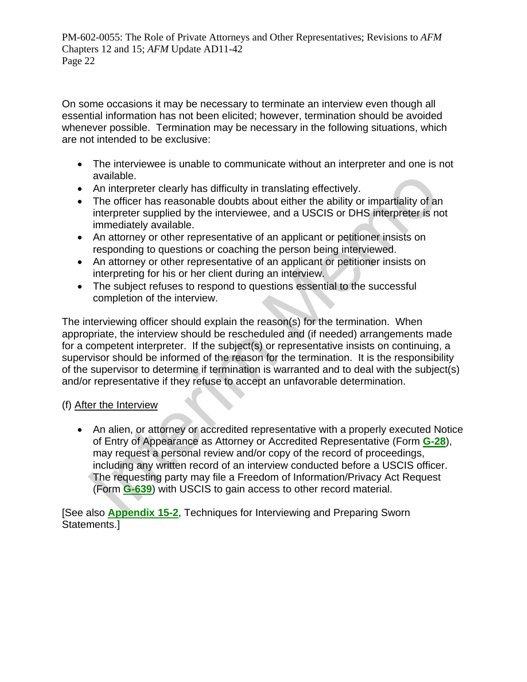On some occasions it may be necessary to terminate an interview even though all essential information has not been elicited; however, termination should be avoided whenever possible. Termination may be necessary in the following situations, which are not intended to be exclusive:

- The interviewee is unable to communicate without an interpreter and one is not available.
- An interpreter clearly has difficulty in translating effectively.
- The officer has reasonable doubts about either the ability or impartiality of an interpreter supplied by the interviewee, and a USCIS or DHS interpreter is not immediately available.
- An attorney or other representative of an applicant or petitioner insists on responding to questions or coaching the person being interviewed.
- An attorney or other representative of an applicant or petitioner insists on interpreting for his or her client during an interview.
- The subject refuses to respond to questions essential to the successful completion of the interview.

available.<br>
An interpreter clearly has difficulty in translating effectively.<br>
An interpreter clearly has difficulty in translating effectively.<br>
The officer has reasonable doubts about either the ability or impartiality The interviewing officer should explain the reason(s) for the termination. When appropriate, the interview should be rescheduled and (if needed) arrangements made for a competent interpreter. If the subject(s) or representative insists on continuing, a supervisor should be informed of the reason for the termination. It is the responsibility of the supervisor to determine if termination is warranted and to deal with the subject(s) and/or representative if they refuse to accept an unfavorable determination.

# (f) After the Interview

 An alien, or attorney or accredited representative with a properly executed Notice of Entry of Appearance as Attorney or Accredited Representative (Form **G-28**), may request a personal review and/or copy of the record of proceedings, including any written record of an interview conducted before a USCIS officer. The requesting party may file a Freedom of Information/Privacy Act Request (Form **G-639**) with USCIS to gain access to other record material.

[See also **[Appendix 15-2](http://dhsconnect.dhs.gov/uscis/workingresources/Source/docView/AFM/HTML/AFM/0-0-0-1/0-0-0-27276/0-0-0-29437.html#0-0-0-1071)**, Techniques for Interviewing and Preparing Sworn Statements.]